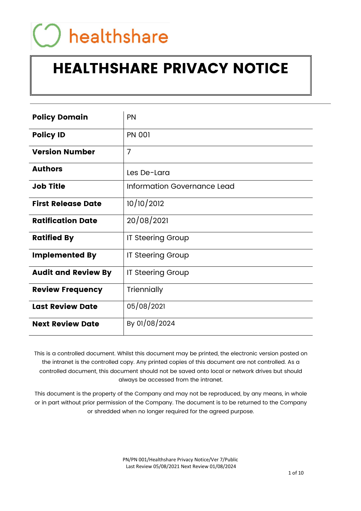# healthshare

# HEALTHSHARE PRIVACY NOTICE

| <b>Policy Domain</b>       | PN                          |
|----------------------------|-----------------------------|
| <b>Policy ID</b>           | <b>PN 001</b>               |
| <b>Version Number</b>      | $\overline{7}$              |
| <b>Authors</b>             | Les De-Lara                 |
| <b>Job Title</b>           | Information Governance Lead |
| <b>First Release Date</b>  | 10/10/2012                  |
| <b>Ratification Date</b>   | 20/08/2021                  |
| <b>Ratified By</b>         | <b>IT Steering Group</b>    |
| <b>Implemented By</b>      | <b>IT Steering Group</b>    |
| <b>Audit and Review By</b> | <b>IT Steering Group</b>    |
| <b>Review Frequency</b>    | Triennially                 |
| <b>Last Review Date</b>    | 05/08/2021                  |
| <b>Next Review Date</b>    | By 01/08/2024               |

This is a controlled document. Whilst this document may be printed, the electronic version posted on the intranet is the controlled copy. Any printed copies of this document are not controlled. As a controlled document, this document should not be saved onto local or network drives but should always be accessed from the intranet.

This document is the property of the Company and may not be reproduced, by any means, in whole or in part without prior permission of the Company. The document is to be returned to the Company or shredded when no longer required for the agreed purpose.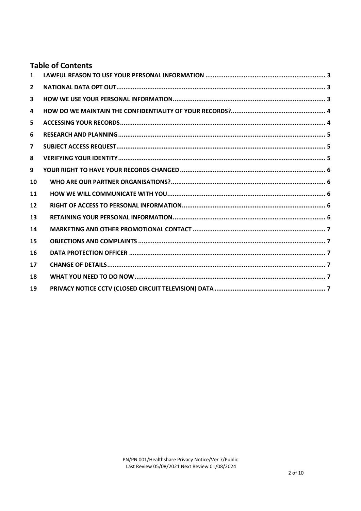# **Table of Contents**

| $\mathbf{1}$            |  |
|-------------------------|--|
| $\overline{2}$          |  |
| 3                       |  |
| 4                       |  |
| 5                       |  |
| 6                       |  |
| $\overline{\mathbf{z}}$ |  |
| 8                       |  |
| 9                       |  |
| 10                      |  |
| 11                      |  |
| $12 \overline{ }$       |  |
| 13                      |  |
| 14                      |  |
| 15                      |  |
| 16                      |  |
| 17                      |  |
| 18                      |  |
| 19                      |  |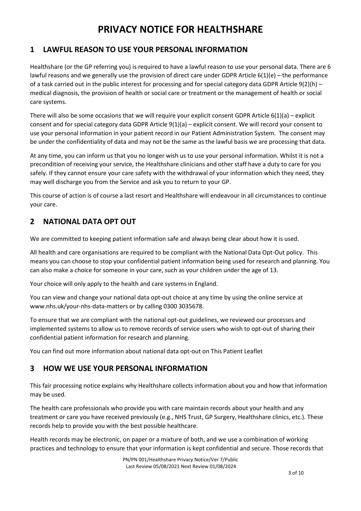# PRIVACY NOTICE FOR HEALTHSHARE

# 1 LAWFUL REASON TO USE YOUR PERSONAL INFORMATION

Healthshare (or the GP referring you) is required to have a lawful reason to use your personal data. There are 6 lawful reasons and we generally use the provision of direct care under GDPR Article 6(1)(e) – the performance of a task carried out in the public interest for processing and for special category data GDPR Article 9(2)(h) – medical diagnosis, the provision of health or social care or treatment or the management of health or social care systems.

There will also be some occasions that we will require your explicit consent GDPR Article 6(1)(a) – explicit consent and for special category data GDPR Article 9(1)(a) – explicit consent. We will record your consent to use your personal information in your patient record in our Patient Administration System. The consent may be under the confidentiality of data and may not be the same as the lawful basis we are processing that data.

At any time, you can inform us that you no longer wish us to use your personal information. Whilst it is not a precondition of receiving your service, the Healthshare clinicians and other staff have a duty to care for you safely. If they cannot ensure your care safety with the withdrawal of your information which they need, they may well discharge you from the Service and ask you to return to your GP.

This course of action is of course a last resort and Healthshare will endeavour in all circumstances to continue your care.

# 2 NATIONAL DATA OPT OUT

We are committed to keeping patient information safe and always being clear about how it is used.

All health and care organisations are required to be compliant with the National Data Opt-Out policy. This means you can choose to stop your confidential patient information being used for research and planning. You can also make a choice for someone in your care, such as your children under the age of 13.

Your choice will only apply to the health and care systems in England.

You can view and change your national data opt-out choice at any time by using the online service at www.nhs.uk/your-nhs-data-matters or by calling 0300 3035678.

To ensure that we are compliant with the national opt-out guidelines, we reviewed our processes and implemented systems to allow us to remove records of service users who wish to opt-out of sharing their confidential patient information for research and planning.

You can find out more information about national data opt-out on This Patient Leaflet

# 3 HOW WE USE YOUR PERSONAL INFORMATION

This fair processing notice explains why Healthshare collects information about you and how that information may be used.

The health care professionals who provide you with care maintain records about your health and any treatment or care you have received previously (e.g., NHS Trust, GP Surgery, Healthshare clinics, etc.). These records help to provide you with the best possible healthcare.

Health records may be electronic, on paper or a mixture of both, and we use a combination of working practices and technology to ensure that your information is kept confidential and secure. Those records that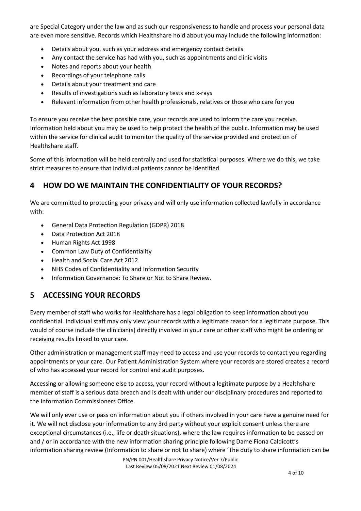are Special Category under the law and as such our responsiveness to handle and process your personal data are even more sensitive. Records which Healthshare hold about you may include the following information:

- Details about you, such as your address and emergency contact details
- Any contact the service has had with you, such as appointments and clinic visits
- Notes and reports about your health
- Recordings of your telephone calls
- Details about your treatment and care
- Results of investigations such as laboratory tests and x-rays
- Relevant information from other health professionals, relatives or those who care for you

To ensure you receive the best possible care, your records are used to inform the care you receive. Information held about you may be used to help protect the health of the public. Information may be used within the service for clinical audit to monitor the quality of the service provided and protection of Healthshare staff.

Some of this information will be held centrally and used for statistical purposes. Where we do this, we take strict measures to ensure that individual patients cannot be identified.

#### 4 HOW DO WE MAINTAIN THE CONFIDENTIALITY OF YOUR RECORDS?

We are committed to protecting your privacy and will only use information collected lawfully in accordance with:

- General Data Protection Regulation (GDPR) 2018
- Data Protection Act 2018
- Human Rights Act 1998
- Common Law Duty of Confidentiality
- Health and Social Care Act 2012
- NHS Codes of Confidentiality and Information Security
- Information Governance: To Share or Not to Share Review.

# 5 ACCESSING YOUR RECORDS

Every member of staff who works for Healthshare has a legal obligation to keep information about you confidential. Individual staff may only view your records with a legitimate reason for a legitimate purpose. This would of course include the clinician(s) directly involved in your care or other staff who might be ordering or receiving results linked to your care.

Other administration or management staff may need to access and use your records to contact you regarding appointments or your care. Our Patient Administration System where your records are stored creates a record of who has accessed your record for control and audit purposes.

Accessing or allowing someone else to access, your record without a legitimate purpose by a Healthshare member of staff is a serious data breach and is dealt with under our disciplinary procedures and reported to the Information Commissioners Office.

We will only ever use or pass on information about you if others involved in your care have a genuine need for it. We will not disclose your information to any 3rd party without your explicit consent unless there are exceptional circumstances (i.e., life or death situations), where the law requires information to be passed on and / or in accordance with the new information sharing principle following Dame Fiona Caldicott's information sharing review (Information to share or not to share) where 'The duty to share information can be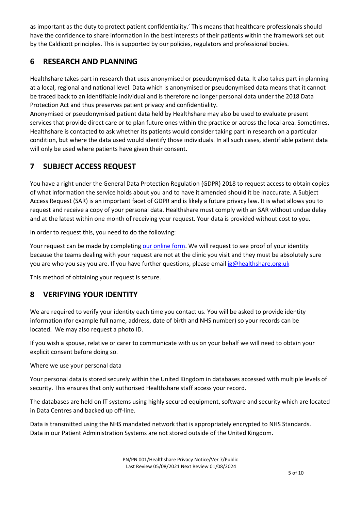as important as the duty to protect patient confidentiality.' This means that healthcare professionals should have the confidence to share information in the best interests of their patients within the framework set out by the Caldicott principles. This is supported by our policies, regulators and professional bodies.

# 6 RESEARCH AND PLANNING

Healthshare takes part in research that uses anonymised or pseudonymised data. It also takes part in planning at a local, regional and national level. Data which is anonymised or pseudonymised data means that it cannot be traced back to an identifiable individual and is therefore no longer personal data under the 2018 Data Protection Act and thus preserves patient privacy and confidentiality.

Anonymised or pseudonymised patient data held by Healthshare may also be used to evaluate present services that provide direct care or to plan future ones within the practice or across the local area. Sometimes, Healthshare is contacted to ask whether its patients would consider taking part in research on a particular condition, but where the data used would identify those individuals. In all such cases, identifiable patient data will only be used where patients have given their consent.

# 7 SUBJECT ACCESS REQUEST

You have a right under the General Data Protection Regulation (GDPR) 2018 to request access to obtain copies of what information the service holds about you and to have it amended should it be inaccurate. A Subject Access Request (SAR) is an important facet of GDPR and is likely a future privacy law. It is what allows you to request and receive a copy of your personal data. Healthshare must comply with an SAR without undue delay and at the latest within one month of receiving your request. Your data is provided without cost to you.

In order to request this, you need to do the following:

Your request can be made by completing our online form. We will request to see proof of your identity because the teams dealing with your request are not at the clinic you visit and they must be absolutely sure you are who you say you are. If you have further questions, please email ig@healthshare.org.uk

This method of obtaining your request is secure.

# 8 VERIFYING YOUR IDENTITY

We are required to verify your identity each time you contact us. You will be asked to provide identity information (for example full name, address, date of birth and NHS number) so your records can be located. We may also request a photo ID.

If you wish a spouse, relative or carer to communicate with us on your behalf we will need to obtain your explicit consent before doing so.

Where we use your personal data

Your personal data is stored securely within the United Kingdom in databases accessed with multiple levels of security. This ensures that only authorised Healthshare staff access your record.

The databases are held on IT systems using highly secured equipment, software and security which are located in Data Centres and backed up off-line.

Data is transmitted using the NHS mandated network that is appropriately encrypted to NHS Standards. Data in our Patient Administration Systems are not stored outside of the United Kingdom.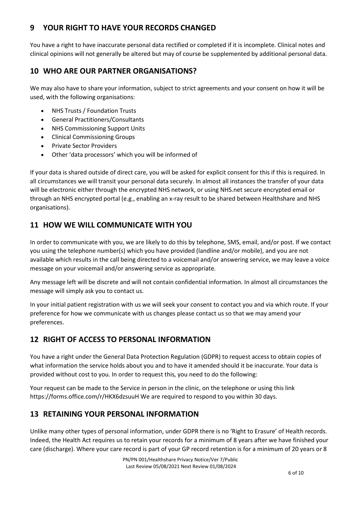# 9 YOUR RIGHT TO HAVE YOUR RECORDS CHANGED

You have a right to have inaccurate personal data rectified or completed if it is incomplete. Clinical notes and clinical opinions will not generally be altered but may of course be supplemented by additional personal data.

# 10 WHO ARE OUR PARTNER ORGANISATIONS?

We may also have to share your information, subject to strict agreements and your consent on how it will be used, with the following organisations:

- NHS Trusts / Foundation Trusts
- General Practitioners/Consultants
- NHS Commissioning Support Units
- Clinical Commissioning Groups
- Private Sector Providers
- Other 'data processors' which you will be informed of

If your data is shared outside of direct care, you will be asked for explicit consent for this if this is required. In all circumstances we will transit your personal data securely. In almost all instances the transfer of your data will be electronic either through the encrypted NHS network, or using NHS.net secure encrypted email or through an NHS encrypted portal (e.g., enabling an x-ray result to be shared between Healthshare and NHS organisations).

# 11 HOW WE WILL COMMUNICATE WITH YOU

In order to communicate with you, we are likely to do this by telephone, SMS, email, and/or post. If we contact you using the telephone number(s) which you have provided (landline and/or mobile), and you are not available which results in the call being directed to a voicemail and/or answering service, we may leave a voice message on your voicemail and/or answering service as appropriate.

Any message left will be discrete and will not contain confidential information. In almost all circumstances the message will simply ask you to contact us.

In your initial patient registration with us we will seek your consent to contact you and via which route. If your preference for how we communicate with us changes please contact us so that we may amend your preferences.

# 12 RIGHT OF ACCESS TO PERSONAL INFORMATION

You have a right under the General Data Protection Regulation (GDPR) to request access to obtain copies of what information the service holds about you and to have it amended should it be inaccurate. Your data is provided without cost to you. In order to request this, you need to do the following:

Your request can be made to the Service in person in the clinic, on the telephone or using this link https://forms.office.com/r/HKX6dzsuuH We are required to respond to you within 30 days.

# 13 RETAINING YOUR PERSONAL INFORMATION

Unlike many other types of personal information, under GDPR there is no 'Right to Erasure' of Health records. Indeed, the Health Act requires us to retain your records for a minimum of 8 years after we have finished your care (discharge). Where your care record is part of your GP record retention is for a minimum of 20 years or 8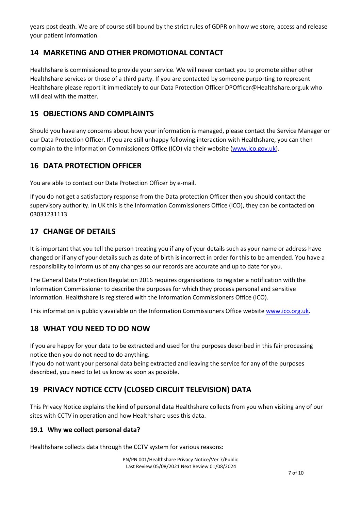years post death. We are of course still bound by the strict rules of GDPR on how we store, access and release your patient information.

# 14 MARKETING AND OTHER PROMOTIONAL CONTACT

Healthshare is commissioned to provide your service. We will never contact you to promote either other Healthshare services or those of a third party. If you are contacted by someone purporting to represent Healthshare please report it immediately to our Data Protection Officer DPOfficer@Healthshare.org.uk who will deal with the matter.

#### 15 OBJECTIONS AND COMPLAINTS

Should you have any concerns about how your information is managed, please contact the Service Manager or our Data Protection Officer. If you are still unhappy following interaction with Healthshare, you can then complain to the Information Commissioners Office (ICO) via their website (www.ico.gov.uk).

#### 16 DATA PROTECTION OFFICER

You are able to contact our Data Protection Officer by e-mail.

If you do not get a satisfactory response from the Data protection Officer then you should contact the supervisory authority. In UK this is the Information Commissioners Office (ICO), they can be contacted on 03031231113

#### 17 CHANGE OF DETAILS

It is important that you tell the person treating you if any of your details such as your name or address have changed or if any of your details such as date of birth is incorrect in order for this to be amended. You have a responsibility to inform us of any changes so our records are accurate and up to date for you.

The General Data Protection Regulation 2016 requires organisations to register a notification with the Information Commissioner to describe the purposes for which they process personal and sensitive information. Healthshare is registered with the Information Commissioners Office (ICO).

This information is publicly available on the Information Commissioners Office website www.ico.org.uk.

# 18 WHAT YOU NEED TO DO NOW

If you are happy for your data to be extracted and used for the purposes described in this fair processing notice then you do not need to do anything.

If you do not want your personal data being extracted and leaving the service for any of the purposes described, you need to let us know as soon as possible.

# 19 PRIVACY NOTICE CCTV (CLOSED CIRCUIT TELEVISION) DATA

This Privacy Notice explains the kind of personal data Healthshare collects from you when visiting any of our sites with CCTV in operation and how Healthshare uses this data.

#### 19.1 Why we collect personal data?

Healthshare collects data through the CCTV system for various reasons: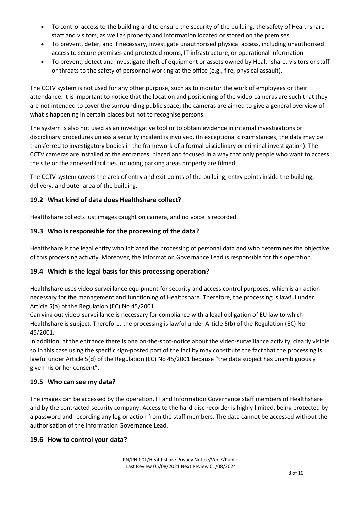- To control access to the building and to ensure the security of the building, the safety of Healthshare staff and visitors, as well as property and information located or stored on the premises
- To prevent, deter, and if necessary, investigate unauthorised physical access, including unauthorised access to secure premises and protected rooms, IT infrastructure, or operational information
- To prevent, detect and investigate theft of equipment or assets owned by Healthshare, visitors or staff or threats to the safety of personnel working at the office (e.g., fire, physical assault).

The CCTV system is not used for any other purpose, such as to monitor the work of employees or their attendance. It is important to notice that the location and positioning of the video-cameras are such that they are not intended to cover the surrounding public space; the cameras are aimed to give a general overview of what's happening in certain places but not to recognise persons.

The system is also not used as an investigative tool or to obtain evidence in internal investigations or disciplinary procedures unless a security incident is involved. (In exceptional circumstances, the data may be transferred to investigatory bodies in the framework of a formal disciplinary or criminal investigation). The CCTV cameras are installed at the entrances, placed and focused in a way that only people who want to access the site or the annexed facilities including parking areas property are filmed.

The CCTV system covers the area of entry and exit points of the building, entry points inside the building, delivery, and outer area of the building.

#### 19.2 What kind of data does Healthshare collect?

Healthshare collects just images caught on camera, and no voice is recorded.

#### 19.3 Who is responsible for the processing of the data?

Healthshare is the legal entity who initiated the processing of personal data and who determines the objective of this processing activity. Moreover, the Information Governance Lead is responsible for this operation.

#### 19.4 Which is the legal basis for this processing operation?

Healthshare uses video-surveillance equipment for security and access control purposes, which is an action necessary for the management and functioning of Healthshare. Therefore, the processing is lawful under Article 5(a) of the Regulation (EC) No 45/2001.

Carrying out video-surveillance is necessary for compliance with a legal obligation of EU law to which Healthshare is subject. Therefore, the processing is lawful under Article 5(b) of the Regulation (EC) No 45/2001.

In addition, at the entrance there is one on-the-spot-notice about the video-surveillance activity, clearly visible so in this case using the specific sign-posted part of the facility may constitute the fact that the processing is lawful under Article 5(d) of the Regulation (EC) No 45/2001 because "the data subject has unambiguously given his or her consent".

#### 19.5 Who can see my data?

The images can be accessed by the operation, IT and Information Governance staff members of Healthshare and by the contracted security company. Access to the hard-disc recorder is highly limited, being protected by a password and recording any log or action from the staff members. The data cannot be accessed without the authorisation of the Information Governance Lead.

#### 19.6 How to control your data?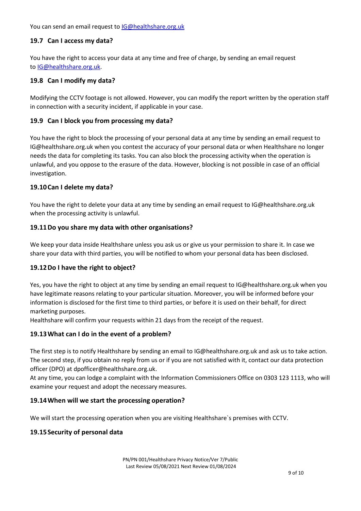You can send an email request to **IG@healthshare.org.uk** 

#### 19.7 Can I access my data?

You have the right to access your data at any time and free of charge, by sending an email request to IG@healthshare.org.uk.

#### 19.8 Can I modify my data?

Modifying the CCTV footage is not allowed. However, you can modify the report written by the operation staff in connection with a security incident, if applicable in your case.

#### 19.9 Can I block you from processing my data?

You have the right to block the processing of your personal data at any time by sending an email request to IG@healthshare.org.uk when you contest the accuracy of your personal data or when Healthshare no longer needs the data for completing its tasks. You can also block the processing activity when the operation is unlawful, and you oppose to the erasure of the data. However, blocking is not possible in case of an official investigation.

#### 19.10Can I delete my data?

You have the right to delete your data at any time by sending an email request to IG@healthshare.org.uk when the processing activity is unlawful.

#### 19.11Do you share my data with other organisations?

We keep your data inside Healthshare unless you ask us or give us your permission to share it. In case we share your data with third parties, you will be notified to whom your personal data has been disclosed.

#### 19.12Do I have the right to object?

Yes, you have the right to object at any time by sending an email request to IG@healthshare.org.uk when you have legitimate reasons relating to your particular situation. Moreover, you will be informed before your information is disclosed for the first time to third parties, or before it is used on their behalf, for direct marketing purposes.

Healthshare will confirm your requests within 21 days from the receipt of the request.

#### 19.13What can I do in the event of a problem?

The first step is to notify Healthshare by sending an email to IG@healthshare.org.uk and ask us to take action. The second step, if you obtain no reply from us or if you are not satisfied with it, contact our data protection officer (DPO) at dpofficer@healthshare.org.uk.

At any time, you can lodge a complaint with the Information Commissioners Office on 0303 123 1113, who will examine your request and adopt the necessary measures.

#### 19.14When will we start the processing operation?

We will start the processing operation when you are visiting Healthshare`s premises with CCTV.

#### 19.15 Security of personal data